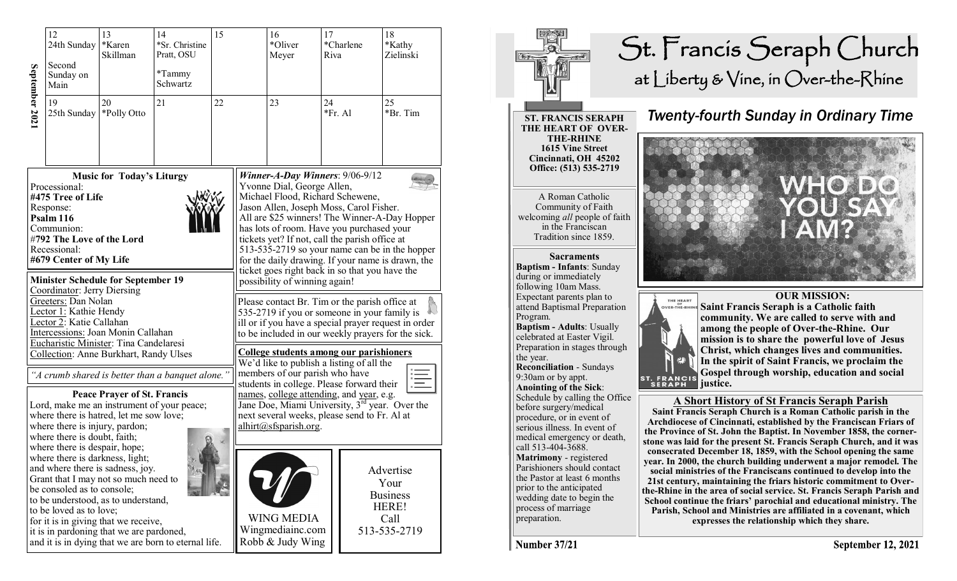|                                                                                                                                                                                       | 12<br>24th Sunday<br>Second<br>Sunday on<br>Main                                                                                                                                                                                                                                                                                                                                                                                                                                                      | 13<br>*Karen<br>Skillman | 14<br>*Sr. Christine<br>Pratt, OSU<br>*Tammy<br>Schwartz | 15                                                                                                                                                                                                          |                                                                                                                                                                                                                                                                                                                                                                                                       | 16<br>*Oliver<br>Meyer                                                                                                                                                                                                                                                                          | 17<br>Riva    | *Charlene | 18<br>*Kathy<br>Zielinski |  |  |
|---------------------------------------------------------------------------------------------------------------------------------------------------------------------------------------|-------------------------------------------------------------------------------------------------------------------------------------------------------------------------------------------------------------------------------------------------------------------------------------------------------------------------------------------------------------------------------------------------------------------------------------------------------------------------------------------------------|--------------------------|----------------------------------------------------------|-------------------------------------------------------------------------------------------------------------------------------------------------------------------------------------------------------------|-------------------------------------------------------------------------------------------------------------------------------------------------------------------------------------------------------------------------------------------------------------------------------------------------------------------------------------------------------------------------------------------------------|-------------------------------------------------------------------------------------------------------------------------------------------------------------------------------------------------------------------------------------------------------------------------------------------------|---------------|-----------|---------------------------|--|--|
| September 2021                                                                                                                                                                        | 19<br>25th Sunday                                                                                                                                                                                                                                                                                                                                                                                                                                                                                     | 20<br>*Polly Otto        | 21                                                       | 22                                                                                                                                                                                                          | 23                                                                                                                                                                                                                                                                                                                                                                                                    |                                                                                                                                                                                                                                                                                                 | 24<br>*Fr. Al |           | 25<br>*Br. Tim            |  |  |
| <b>Music for Today's Liturgy</b><br>Processional:<br>#475 Tree of Life<br>Response:<br>Psalm 116<br>Communion:<br>#792 The Love of the Lord<br>Recessional:<br>#679 Center of My Life |                                                                                                                                                                                                                                                                                                                                                                                                                                                                                                       |                          |                                                          |                                                                                                                                                                                                             | Winner-A-Day Winners: $9/06-9/12$<br>Yvonne Dial, George Allen,<br>Michael Flood, Richard Schewene,<br>Jason Allen, Joseph Moss, Carol Fisher.<br>All are \$25 winners! The Winner-A-Day Hopper<br>has lots of room. Have you purchased your<br>tickets yet? If not, call the parish office at<br>513-535-2719 so your name can be in the hopper<br>for the daily drawing. If your name is drawn, the |                                                                                                                                                                                                                                                                                                 |               |           |                           |  |  |
|                                                                                                                                                                                       | <b>Minister Schedule for September 19</b><br>Coordinator: Jerry Diersing<br>Greeters: Dan Nolan<br>Lector 1: Kathie Hendy<br>Lector 2: Katie Callahan<br>Intercessions: Joan Monin Callahan<br>Eucharistic Minister: Tina Candelaresi                                                                                                                                                                                                                                                                 |                          |                                                          |                                                                                                                                                                                                             |                                                                                                                                                                                                                                                                                                                                                                                                       | ticket goes right back in so that you have the<br>possibility of winning again!<br>Please contact Br. Tim or the parish office at<br>535-2719 if you or someone in your family is<br>ill or if you have a special prayer request in order<br>to be included in our weekly prayers for the sick. |               |           |                           |  |  |
| Collection: Anne Burkhart, Randy Ulses<br>"A crumb shared is better than a banquet alone."<br><b>Peace Prayer of St. Francis</b><br>Lord, make me an instrument of your peace;        |                                                                                                                                                                                                                                                                                                                                                                                                                                                                                                       |                          |                                                          |                                                                                                                                                                                                             | College students among our parishioners<br>We'd like to publish a listing of all the<br>members of our parish who have<br>students in college. Please forward their<br>names, college attending, and year, e.g.<br>Jane Doe, Miami University, 3 <sup>rd</sup> year. Over the                                                                                                                         |                                                                                                                                                                                                                                                                                                 |               |           |                           |  |  |
|                                                                                                                                                                                       | where there is hatred, let me sow love;<br>where there is injury, pardon;<br>where there is doubt, faith;<br>where there is despair, hope;<br>where there is darkness, light;<br>and where there is sadness, joy.<br>Grant that I may not so much need to<br>be consoled as to console;<br>to be understood, as to understand,<br>to be loved as to love;<br>for it is in giving that we receive,<br>it is in pardoning that we are pardoned,<br>and it is in dying that we are born to eternal life. |                          |                                                          | next several weeks, please send to Fr. Al at<br>alhirt@sfsparish.org.<br>Advertise<br>Your<br><b>Business</b><br>HERE!<br><b>WING MEDIA</b><br>Call<br>Wingmediainc.com<br>513-535-2719<br>Robb & Judy Wing |                                                                                                                                                                                                                                                                                                                                                                                                       |                                                                                                                                                                                                                                                                                                 |               |           |                           |  |  |



**Number 37/21**